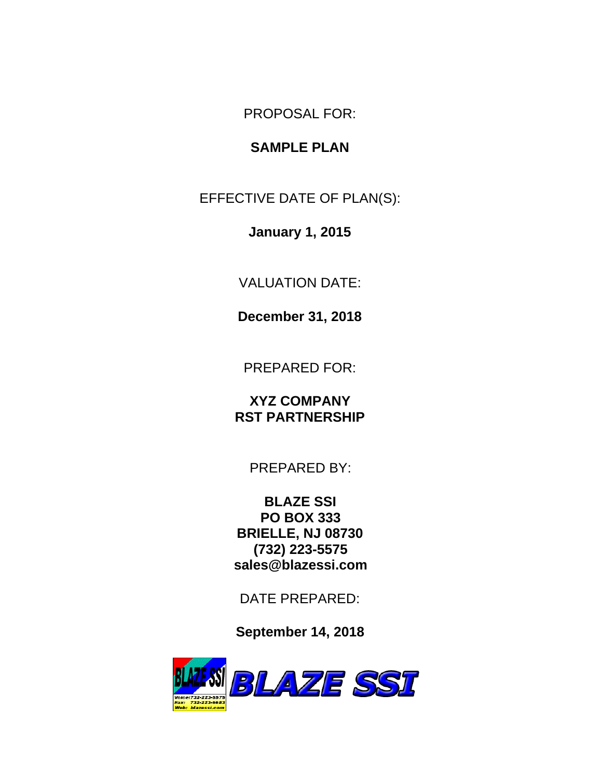PROPOSAL FOR:

# **SAMPLE PLAN**

EFFECTIVE DATE OF PLAN(S):

**January 1, 2015**

VALUATION DATE:

**December 31, 2018**

PREPARED FOR:

**XYZ COMPANY RST PARTNERSHIP**

PREPARED BY:

**BLAZE SSI PO BOX 333 BRIELLE, NJ 08730 (732) 223-5575 sales@blazessi.com**

DATE PREPARED:

**September 14, 2018**

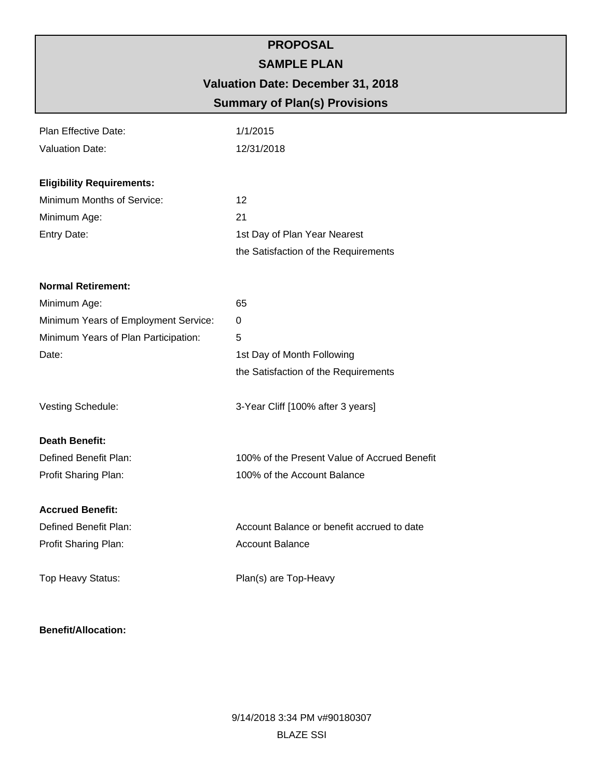# **PROPOSAL SAMPLE PLAN Valuation Date: December 31, 2018 Summary of Plan(s) Provisions**

| Plan Effective Date:                 | 1/1/2015                                     |
|--------------------------------------|----------------------------------------------|
| <b>Valuation Date:</b>               | 12/31/2018                                   |
| <b>Eligibility Requirements:</b>     |                                              |
| Minimum Months of Service:           | 12                                           |
| Minimum Age:                         | 21                                           |
| Entry Date:                          | 1st Day of Plan Year Nearest                 |
|                                      | the Satisfaction of the Requirements         |
| <b>Normal Retirement:</b>            |                                              |
| Minimum Age:                         | 65                                           |
| Minimum Years of Employment Service: | 0                                            |
| Minimum Years of Plan Participation: | 5                                            |
| Date:                                | 1st Day of Month Following                   |
|                                      | the Satisfaction of the Requirements         |
| Vesting Schedule:                    | 3-Year Cliff [100% after 3 years]            |
| <b>Death Benefit:</b>                |                                              |
| Defined Benefit Plan:                | 100% of the Present Value of Accrued Benefit |
| Profit Sharing Plan:                 | 100% of the Account Balance                  |
| <b>Accrued Benefit:</b>              |                                              |
| Defined Benefit Plan:                | Account Balance or benefit accrued to date   |
| Profit Sharing Plan:                 | <b>Account Balance</b>                       |
| Top Heavy Status:                    | Plan(s) are Top-Heavy                        |

#### **Benefit/Allocation:**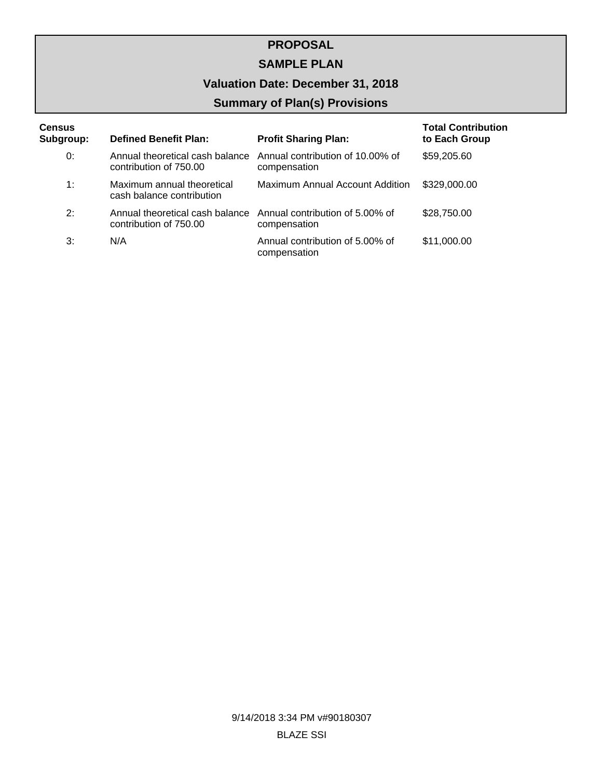## **SAMPLE PLAN**

# **Valuation Date: December 31, 2018**

# **Summary of Plan(s) Provisions**

| <b>Census</b> |                                                           |                                                  | <b>Total Contribution</b> |
|---------------|-----------------------------------------------------------|--------------------------------------------------|---------------------------|
| Subgroup:     | <b>Defined Benefit Plan:</b>                              | <b>Profit Sharing Plan:</b>                      | to Each Group             |
| 0:            | Annual theoretical cash balance<br>contribution of 750.00 | Annual contribution of 10.00% of<br>compensation | \$59,205.60               |
| 1:            | Maximum annual theoretical<br>cash balance contribution   | Maximum Annual Account Addition                  | \$329,000.00              |
| 2:            | Annual theoretical cash balance<br>contribution of 750.00 | Annual contribution of 5,00% of<br>compensation  | \$28,750.00               |
| 3:            | N/A                                                       | Annual contribution of 5,00% of<br>compensation  | \$11,000.00               |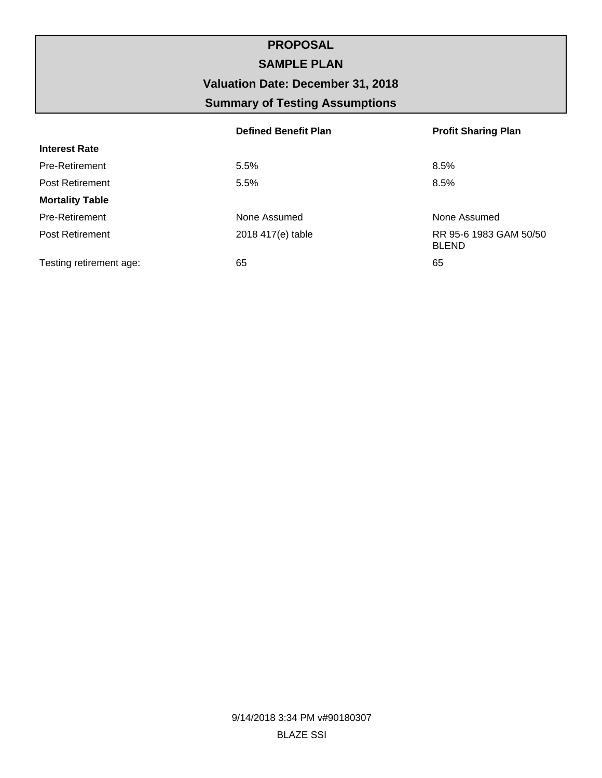# **PROPOSAL SAMPLE PLAN Valuation Date: December 31, 2018 Summary of Testing Assumptions**

|                         | <b>Defined Benefit Plan</b> | <b>Profit Sharing Plan</b>             |
|-------------------------|-----------------------------|----------------------------------------|
| <b>Interest Rate</b>    |                             |                                        |
| <b>Pre-Retirement</b>   | 5.5%                        | 8.5%                                   |
| <b>Post Retirement</b>  | 5.5%                        | 8.5%                                   |
| <b>Mortality Table</b>  |                             |                                        |
| Pre-Retirement          | None Assumed                | None Assumed                           |
| <b>Post Retirement</b>  | 2018 417(e) table           | RR 95-6 1983 GAM 50/50<br><b>BLEND</b> |
| Testing retirement age: | 65                          | 65                                     |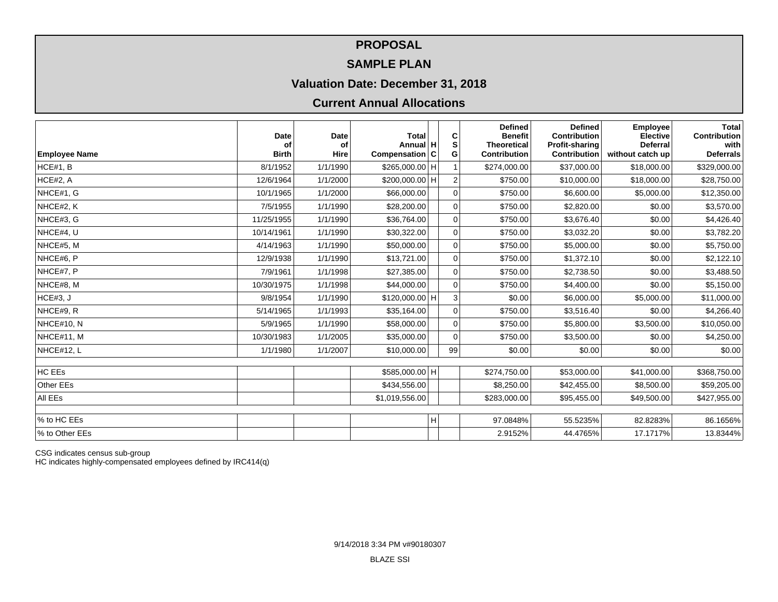### **SAMPLE PLAN**

## **Valuation Date: December 31, 2018**

## **Current Annual Allocations**

|                      | Date               | Date       | <b>Total</b>               |   | C           | <b>Defined</b><br><b>Benefit</b>   | <b>Defined</b><br><b>Contribution</b> | <b>Employee</b><br><b>Elective</b>  | Total<br>Contribution      |
|----------------------|--------------------|------------|----------------------------|---|-------------|------------------------------------|---------------------------------------|-------------------------------------|----------------------------|
| <b>Employee Name</b> | of<br><b>Birth</b> | οf<br>Hire | Annual H<br>Compensation C |   | S<br>G      | <b>Theoretical</b><br>Contribution | <b>Profit-sharing</b><br>Contribution | <b>Deferral</b><br>without catch up | with  <br><b>Deferrals</b> |
| HCE#1, B             | 8/1/1952           | 1/1/1990   | \$265,000.00 H             |   |             | \$274,000.00                       | \$37,000.00                           | \$18,000.00                         | \$329,000.00               |
| HCE#2, A             | 12/6/1964          | 1/1/2000   | \$200,000.00 H             |   | 2           | \$750.00                           | \$10,000.00                           | \$18,000.00                         | \$28,750.00                |
| NHCE#1, G            | 10/1/1965          | 1/1/2000   | \$66,000.00                |   | $\mathbf 0$ | \$750.00                           | \$6,600.00                            | \$5,000.00                          | \$12,350.00                |
| NHCE#2, K            | 7/5/1955           | 1/1/1990   | \$28,200.00                |   | 0           | \$750.00                           | \$2,820.00                            | \$0.00                              | \$3,570.00                 |
| NHCE#3, G            | 11/25/1955         | 1/1/1990   | \$36,764.00                |   | $\mathbf 0$ | \$750.00                           | \$3,676.40                            | \$0.00                              | \$4,426.40                 |
| NHCE#4, U            | 10/14/1961         | 1/1/1990   | \$30,322.00                |   | $\mathbf 0$ | \$750.00                           | \$3,032.20                            | \$0.00                              | \$3,782.20                 |
| NHCE#5, M            | 4/14/1963          | 1/1/1990   | \$50,000.00                |   | $\mathbf 0$ | \$750.00                           | \$5,000.00                            | \$0.00                              | \$5,750.00                 |
| NHCE#6, P            | 12/9/1938          | 1/1/1990   | \$13,721.00                |   | $\mathbf 0$ | \$750.00                           | \$1,372.10                            | \$0.00                              | \$2,122.10                 |
| NHCE#7, P            | 7/9/1961           | 1/1/1998   | \$27,385.00                |   | $\mathbf 0$ | \$750.00                           | \$2,738.50                            | \$0.00                              | \$3,488.50                 |
| NHCE#8, M            | 10/30/1975         | 1/1/1998   | \$44,000.00                |   | $\mathbf 0$ | \$750.00                           | \$4,400.00                            | \$0.00                              | \$5,150.00                 |
| HCE#3, J             | 9/8/1954           | 1/1/1990   | $$120,000.00$ H            |   | 3           | \$0.00                             | \$6,000.00                            | \$5,000.00                          | \$11,000.00                |
| NHCE#9, R            | 5/14/1965          | 1/1/1993   | \$35,164.00                |   | $\mathbf 0$ | \$750.00                           | \$3,516.40                            | \$0.00                              | \$4,266.40                 |
| NHCE#10, N           | 5/9/1965           | 1/1/1990   | \$58,000.00                |   | $\mathbf 0$ | \$750.00                           | \$5,800.00                            | \$3,500.00                          | \$10,050.00                |
| NHCE#11, M           | 10/30/1983         | 1/1/2005   | \$35,000.00                |   | $\mathbf 0$ | \$750.00                           | \$3,500.00                            | \$0.00                              | \$4,250.00                 |
| NHCE#12, L           | 1/1/1980           | 1/1/2007   | \$10,000.00                |   | 99          | \$0.00                             | \$0.00                                | \$0.00                              | \$0.00                     |
| HC EEs               |                    |            | \$585,000.00 H             |   |             | \$274,750.00                       | \$53,000.00                           | \$41,000.00                         | \$368,750.00               |
| Other EEs            |                    |            | \$434,556.00               |   |             | \$8,250.00                         | \$42,455.00                           | \$8,500.00                          | \$59,205.00                |
| All EEs              |                    |            | \$1,019,556.00             |   |             | \$283,000.00                       | \$95,455.00                           | \$49,500.00                         | \$427,955.00               |
|                      |                    |            |                            |   |             |                                    |                                       |                                     |                            |
| % to HC EEs          |                    |            |                            | H |             | 97.0848%                           | 55.5235%                              | 82.8283%                            | 86.1656%                   |
| % to Other EEs       |                    |            |                            |   |             | 2.9152%                            | 44.4765%                              | 17.1717%                            | 13.8344%                   |

CSG indicates census sub-group

HC indicates highly-compensated employees defined by IRC414(q)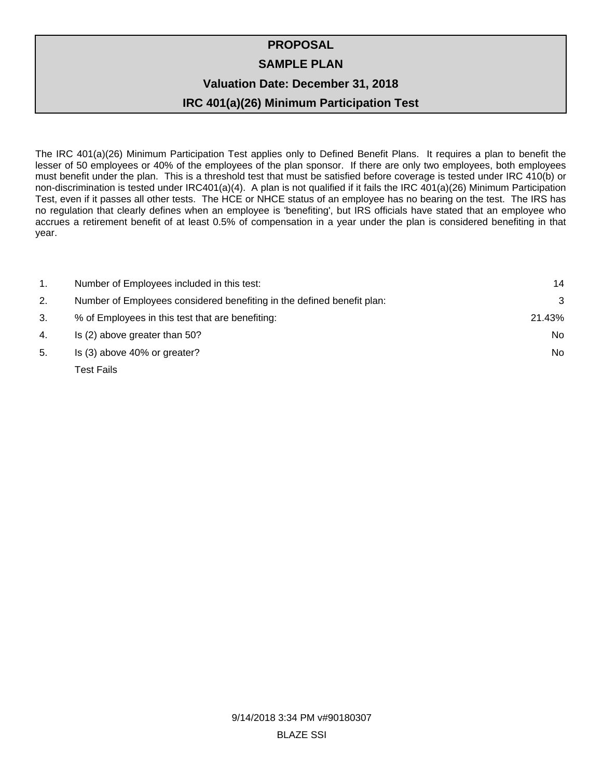# **PROPOSAL SAMPLE PLAN Valuation Date: December 31, 2018**

# **IRC 401(a)(26) Minimum Participation Test**

The IRC 401(a)(26) Minimum Participation Test applies only to Defined Benefit Plans. It requires a plan to benefit the lesser of 50 employees or 40% of the employees of the plan sponsor. If there are only two employees, both employees must benefit under the plan. This is a threshold test that must be satisfied before coverage is tested under IRC 410(b) or non-discrimination is tested under IRC401(a)(4). A plan is not qualified if it fails the IRC 401(a)(26) Minimum Participation Test, even if it passes all other tests. The HCE or NHCE status of an employee has no bearing on the test. The IRS has no regulation that clearly defines when an employee is 'benefiting', but IRS officials have stated that an employee who accrues a retirement benefit of at least 0.5% of compensation in a year under the plan is considered benefiting in that year.

| 1. | Number of Employees included in this test:                             | 14     |
|----|------------------------------------------------------------------------|--------|
| 2. | Number of Employees considered benefiting in the defined benefit plan: | 3      |
| 3. | % of Employees in this test that are benefiting:                       | 21.43% |
| 4. | Is (2) above greater than 50?                                          | No.    |
| 5. | Is (3) above 40% or greater?                                           | No.    |
|    | Test Fails                                                             |        |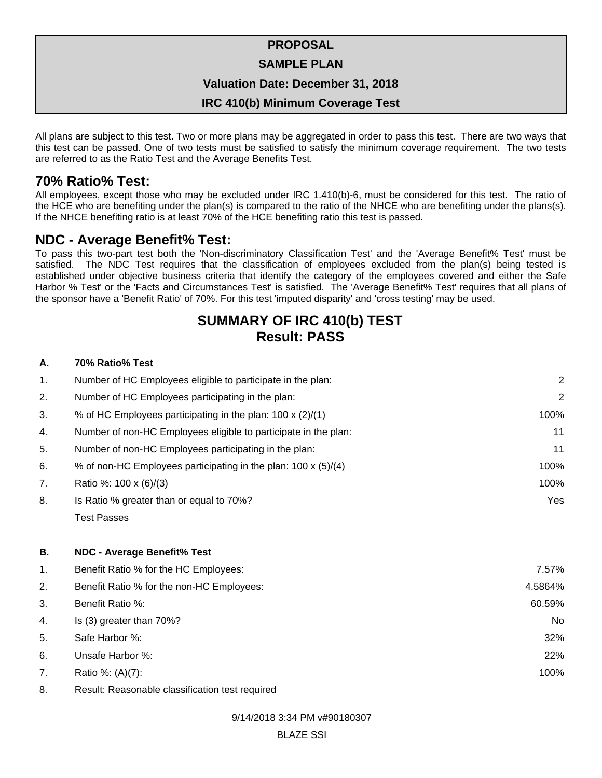#### **SAMPLE PLAN**

#### **Valuation Date: December 31, 2018**

#### **IRC 410(b) Minimum Coverage Test**

All plans are subject to this test. Two or more plans may be aggregated in order to pass this test. There are two ways that this test can be passed. One of two tests must be satisfied to satisfy the minimum coverage requirement. The two tests are referred to as the Ratio Test and the Average Benefits Test.

## **70% Ratio% Test:**

All employees, except those who may be excluded under IRC 1.410(b)-6, must be considered for this test. The ratio of the HCE who are benefiting under the plan(s) is compared to the ratio of the NHCE who are benefiting under the plans(s). If the NHCE benefiting ratio is at least 70% of the HCE benefiting ratio this test is passed.

## **NDC - Average Benefit% Test:**

To pass this two-part test both the 'Non-discriminatory Classification Test' and the 'Average Benefit% Test' must be satisfied. The NDC Test requires that the classification of employees excluded from the plan(s) being tested is established under objective business criteria that identify the category of the employees covered and either the Safe Harbor % Test' or the 'Facts and Circumstances Test' is satisfied. The 'Average Benefit% Test' requires that all plans of the sponsor have a 'Benefit Ratio' of 70%. For this test 'imputed disparity' and 'cross testing' may be used.

# **SUMMARY OF IRC 410(b) TEST Result: PASS**

#### **A. 70% Ratio% Test**

| $\mathbf{1}$ . | Number of HC Employees eligible to participate in the plan:     | 2              |
|----------------|-----------------------------------------------------------------|----------------|
| 2.             | Number of HC Employees participating in the plan:               | $\overline{2}$ |
| 3.             | % of HC Employees participating in the plan: 100 x (2)/(1)      | 100%           |
| 4.             | Number of non-HC Employees eligible to participate in the plan: | 11             |
| 5.             | Number of non-HC Employees participating in the plan:           | 11             |
| 6.             | % of non-HC Employees participating in the plan: 100 x (5)/(4)  | 100%           |
| 7.             | Ratio %: 100 x (6)/(3)                                          | 100%           |
| 8.             | Is Ratio % greater than or equal to 70%?                        | Yes            |
|                | <b>Test Passes</b>                                              |                |
| В.             | <b>NDC - Average Benefit% Test</b>                              |                |
| 1.             | Benefit Ratio % for the HC Employees:                           | 7.57%          |
| 2.             | Benefit Ratio % for the non-HC Employees:                       | 4.5864%        |
| 3.             | Benefit Ratio %:                                                | 60.59%         |
| 4.             | Is (3) greater than 70%?                                        | <b>No</b>      |
| 5.             | Safe Harbor %:                                                  | 32%            |
| 6.             | Unsafe Harbor %:                                                | 22%            |
| 7.             | Ratio %: (A)(7):                                                | 100%           |

8. Result: Reasonable classification test required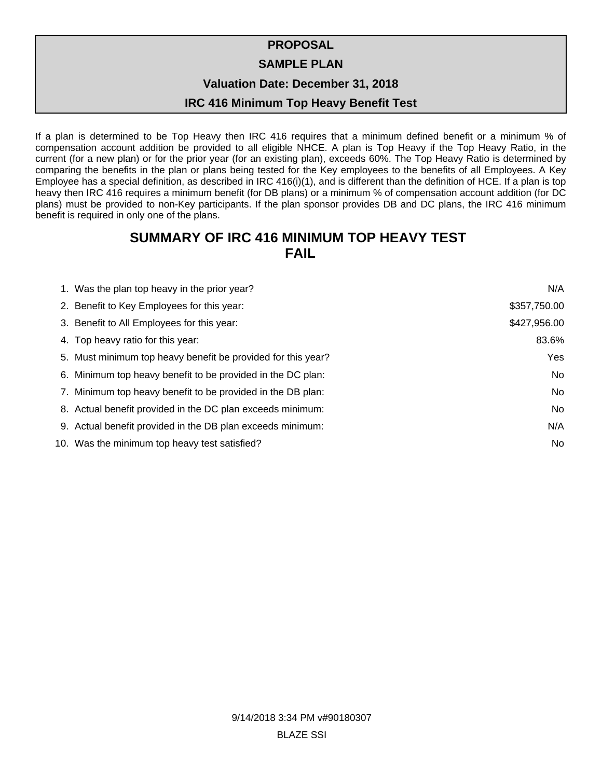#### **SAMPLE PLAN**

**Valuation Date: December 31, 2018**

#### **IRC 416 Minimum Top Heavy Benefit Test**

If a plan is determined to be Top Heavy then IRC 416 requires that a minimum defined benefit or a minimum % of compensation account addition be provided to all eligible NHCE. A plan is Top Heavy if the Top Heavy Ratio, in the current (for a new plan) or for the prior year (for an existing plan), exceeds 60%. The Top Heavy Ratio is determined by comparing the benefits in the plan or plans being tested for the Key employees to the benefits of all Employees. A Key Employee has a special definition, as described in IRC 416(i)(1), and is different than the definition of HCE. If a plan is top heavy then IRC 416 requires a minimum benefit (for DB plans) or a minimum % of compensation account addition (for DC plans) must be provided to non-Key participants. If the plan sponsor provides DB and DC plans, the IRC 416 minimum benefit is required in only one of the plans.

# **SUMMARY OF IRC 416 MINIMUM TOP HEAVY TEST FAIL**

| 1. Was the plan top heavy in the prior year?                 | N/A          |
|--------------------------------------------------------------|--------------|
| 2. Benefit to Key Employees for this year:                   | \$357,750.00 |
| 3. Benefit to All Employees for this year:                   | \$427,956.00 |
| 4. Top heavy ratio for this year:                            | 83.6%        |
| 5. Must minimum top heavy benefit be provided for this year? | Yes          |
| 6. Minimum top heavy benefit to be provided in the DC plan:  | No           |
| 7. Minimum top heavy benefit to be provided in the DB plan:  | No           |
| 8. Actual benefit provided in the DC plan exceeds minimum:   | No           |
| 9. Actual benefit provided in the DB plan exceeds minimum:   | N/A          |
| 10. Was the minimum top heavy test satisfied?                | <b>No</b>    |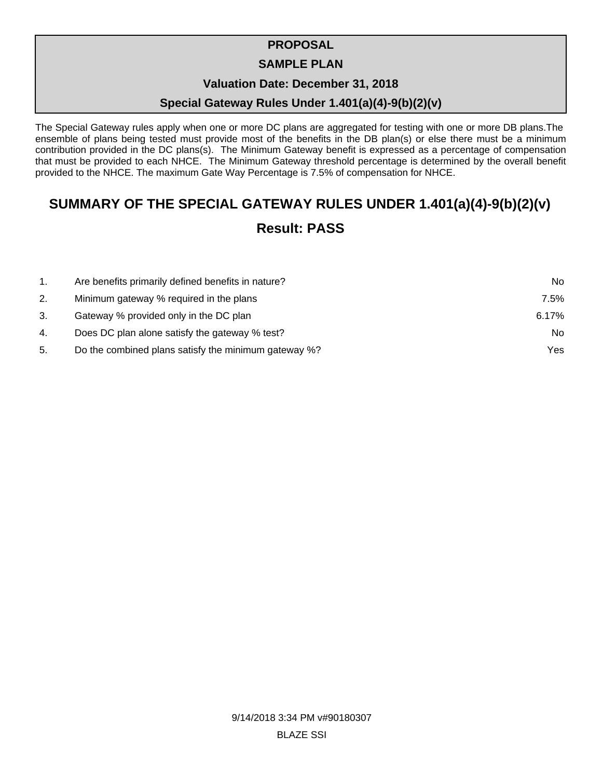### **SAMPLE PLAN**

### **Valuation Date: December 31, 2018**

## **Special Gateway Rules Under 1.401(a)(4)-9(b)(2)(v)**

The Special Gateway rules apply when one or more DC plans are aggregated for testing with one or more DB plans. The ensemble of plans being tested must provide most of the benefits in the DB plan(s) or else there must be a minimum contribution provided in the DC plans(s). The Minimum Gateway benefit is expressed as a percentage of compensation that must be provided to each NHCE. The Minimum Gateway threshold percentage is determined by the overall benefit provided to the NHCE. The maximum Gate Way Percentage is 7.5% of compensation for NHCE.

# **SUMMARY OF THE SPECIAL GATEWAY RULES UNDER 1.401(a)(4)-9(b)(2)(v)**

# **Result: PASS**

| $1_{\cdot}$ | Are benefits primarily defined benefits in nature?   | No.   |
|-------------|------------------------------------------------------|-------|
| 2.          | Minimum gateway % required in the plans              | 7.5%  |
| 3.          | Gateway % provided only in the DC plan               | 6.17% |
| 4.          | Does DC plan alone satisfy the gateway % test?       | No.   |
| 5.          | Do the combined plans satisfy the minimum gateway %? | Yes.  |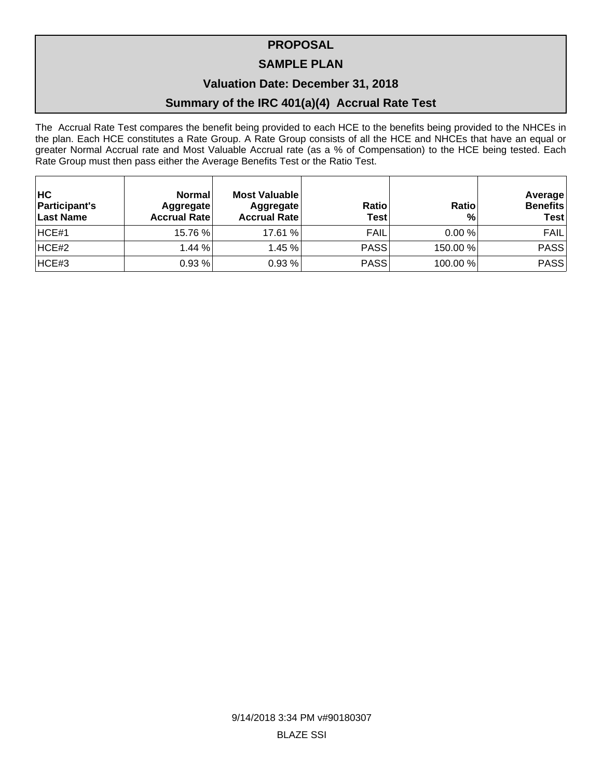### **SAMPLE PLAN**

### **Valuation Date: December 31, 2018**

## **Summary of the IRC 401(a)(4) Accrual Rate Test**

The Accrual Rate Test compares the benefit being provided to each HCE to the benefits being provided to the NHCEs in the plan. Each HCE constitutes a Rate Group. A Rate Group consists of all the HCE and NHCEs that have an equal or greater Normal Accrual rate and Most Valuable Accrual rate (as a % of Compensation) to the HCE being tested. Each Rate Group must then pass either the Average Benefits Test or the Ratio Test.

| <b>HC</b><br><b>Participant's</b><br>Last Name | <b>Normal</b><br>Aggregate<br><b>Accrual Rate</b> | Most Valuable<br>Aggregate<br><b>Accrual Rate</b> | <b>Ratio</b><br>Test | Ratio<br>% | <b>Average</b><br><b>Benefits</b><br><b>Test</b> |
|------------------------------------------------|---------------------------------------------------|---------------------------------------------------|----------------------|------------|--------------------------------------------------|
| HCE#1                                          | 15.76 %                                           | 17.61 %                                           | <b>FAIL</b>          | 0.00%      | <b>FAIL</b>                                      |
| HCE#2                                          | 1.44%                                             | 1.45%                                             | <b>PASS</b>          | 150.00 %   | PASS                                             |
| HCE#3                                          | 0.93%                                             | 0.93%                                             | <b>PASS</b>          | 100.00%    | PASS                                             |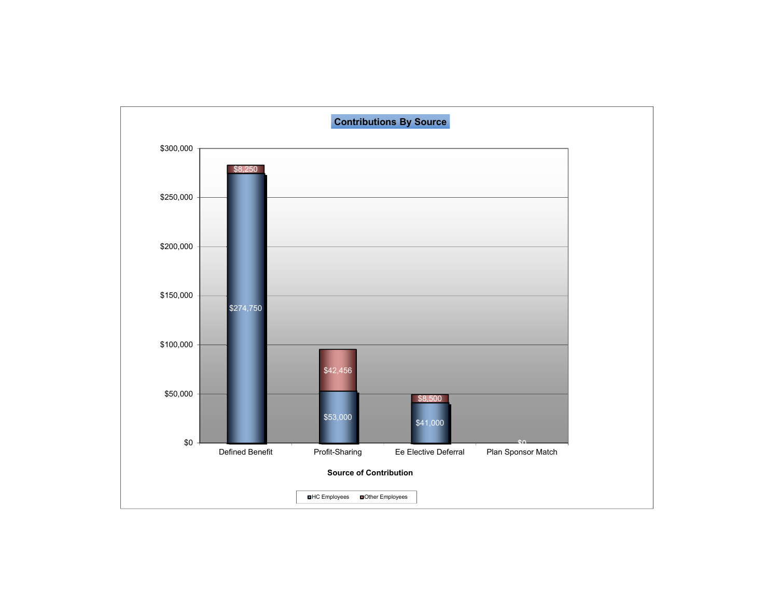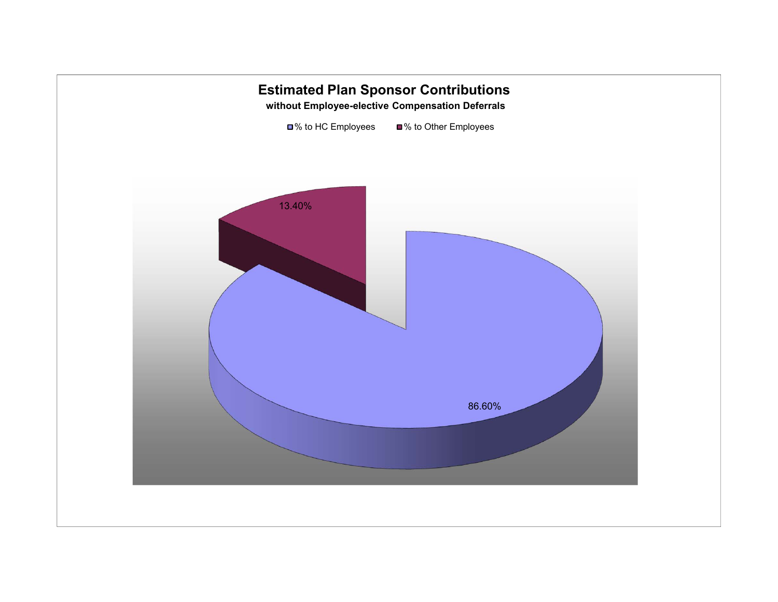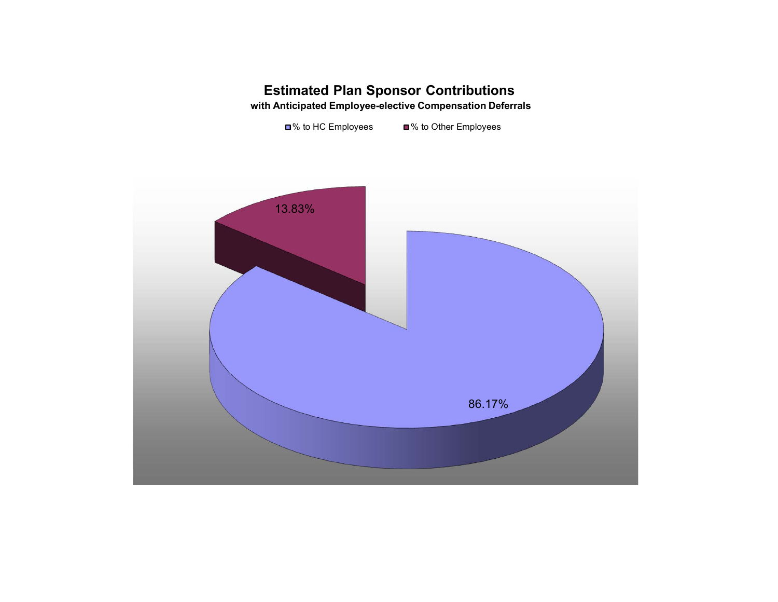# **Estimated Plan Sponsor Contributions with Anticipated Employee-elective Compensation Deferrals**

■% to HC Employees ■% to Other Employees

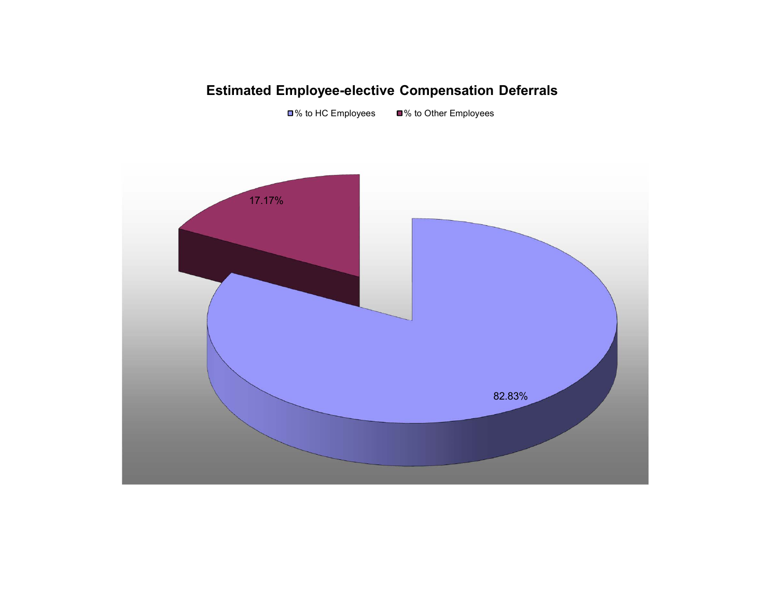# **Estimated Employee-elective Compensation Deferrals**

■% to HC Employees ■% to Other Employees

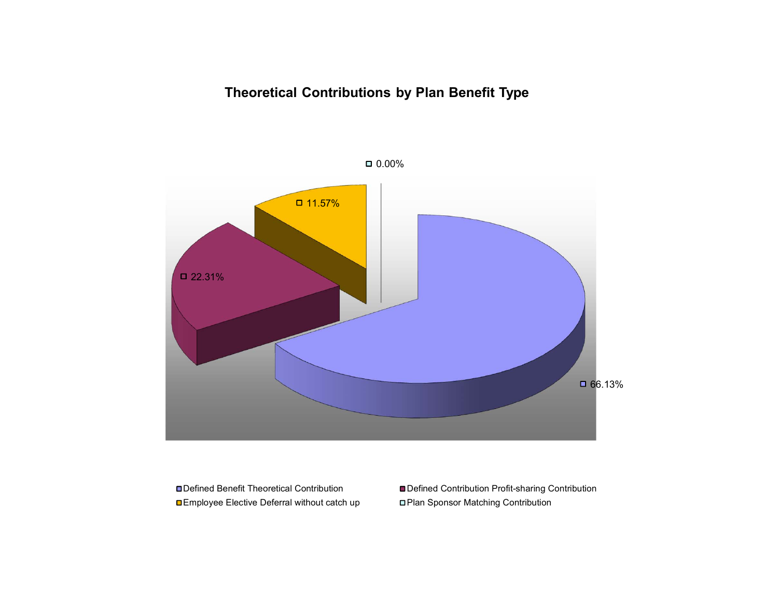# **Theoretical Contributions by Plan Benefit Type**



0.00%

■Defined Benefit Theoretical Contribution Employee Elective Deferral without catch up Plan Sponsor Matching Contribution

Defined Contribution Profit-sharing Contribution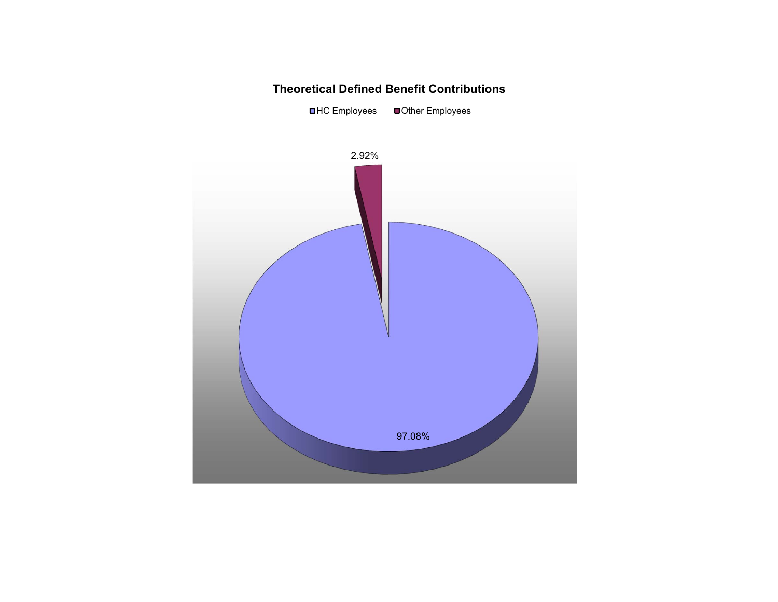#### **Theoretical Defined Benefit Contributions**

■HC Employees ■ Other Employees